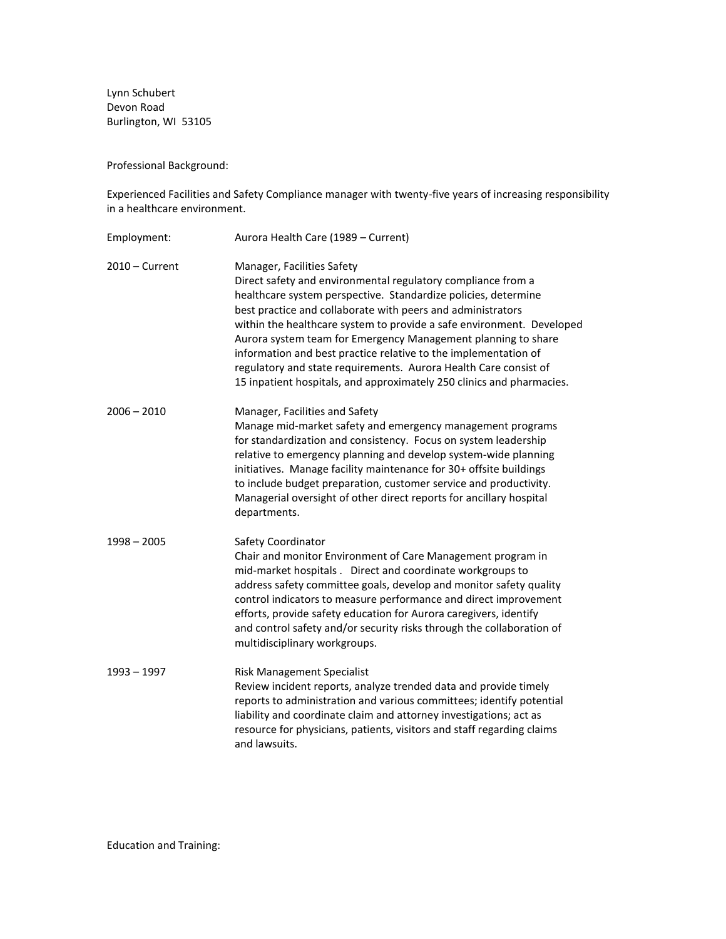Lynn Schubert Devon Road Burlington, WI 53105

Professional Background:

Experienced Facilities and Safety Compliance manager with twenty-five years of increasing responsibility in a healthcare environment.

| Employment:      | Aurora Health Care (1989 - Current)                                                                                                                                                                                                                                                                                                                                                                                                                                                                                                                                                   |
|------------------|---------------------------------------------------------------------------------------------------------------------------------------------------------------------------------------------------------------------------------------------------------------------------------------------------------------------------------------------------------------------------------------------------------------------------------------------------------------------------------------------------------------------------------------------------------------------------------------|
| $2010 -$ Current | Manager, Facilities Safety<br>Direct safety and environmental regulatory compliance from a<br>healthcare system perspective. Standardize policies, determine<br>best practice and collaborate with peers and administrators<br>within the healthcare system to provide a safe environment. Developed<br>Aurora system team for Emergency Management planning to share<br>information and best practice relative to the implementation of<br>regulatory and state requirements. Aurora Health Care consist of<br>15 inpatient hospitals, and approximately 250 clinics and pharmacies. |
| $2006 - 2010$    | Manager, Facilities and Safety<br>Manage mid-market safety and emergency management programs<br>for standardization and consistency. Focus on system leadership<br>relative to emergency planning and develop system-wide planning<br>initiatives. Manage facility maintenance for 30+ offsite buildings<br>to include budget preparation, customer service and productivity.<br>Managerial oversight of other direct reports for ancillary hospital<br>departments.                                                                                                                  |
| $1998 - 2005$    | Safety Coordinator<br>Chair and monitor Environment of Care Management program in<br>mid-market hospitals. Direct and coordinate workgroups to<br>address safety committee goals, develop and monitor safety quality<br>control indicators to measure performance and direct improvement<br>efforts, provide safety education for Aurora caregivers, identify<br>and control safety and/or security risks through the collaboration of<br>multidisciplinary workgroups.                                                                                                               |
| $1993 - 1997$    | <b>Risk Management Specialist</b><br>Review incident reports, analyze trended data and provide timely<br>reports to administration and various committees; identify potential<br>liability and coordinate claim and attorney investigations; act as<br>resource for physicians, patients, visitors and staff regarding claims<br>and lawsuits.                                                                                                                                                                                                                                        |